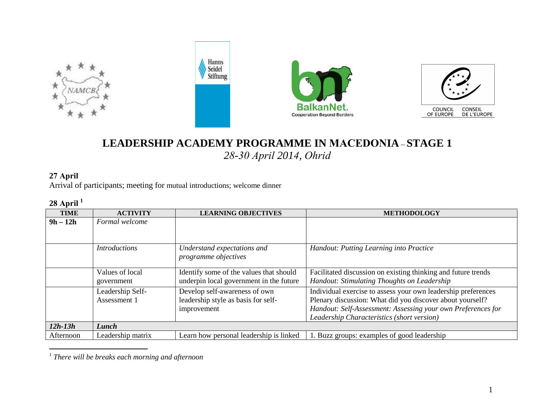

# **LEADERSHIP ACADEMY PROGRAMME IN MACEDONIA** – **STAGE 1**  *28-30 April <sup>201</sup> 4, Ohrid*

## **27 April**

Arrival of participants; meeting for mutual introductions; welcome dinner

## **28 April 1**

| -           |                                  |                                                                                     |                                                                                                                                                                                                                                          |
|-------------|----------------------------------|-------------------------------------------------------------------------------------|------------------------------------------------------------------------------------------------------------------------------------------------------------------------------------------------------------------------------------------|
| <b>TIME</b> | <b>ACTIVITY</b>                  | <b>LEARNING OBJECTIVES</b>                                                          | <b>METHODOLOGY</b>                                                                                                                                                                                                                       |
| $9h - 12h$  | Formal welcome                   |                                                                                     |                                                                                                                                                                                                                                          |
|             | <b>Introductions</b>             | Understand expectations and<br>programme objectives                                 | Handout: Putting Learning into Practice                                                                                                                                                                                                  |
|             | Values of local<br>government    | Identify some of the values that should<br>underpin local government in the future  | Facilitated discussion on existing thinking and future trends<br>Handout: Stimulating Thoughts on Leadership                                                                                                                             |
|             | Leadership Self-<br>Assessment 1 | Develop self-awareness of own<br>leadership style as basis for self-<br>improvement | Individual exercise to assess your own leadership preferences<br>Plenary discussion: What did you discover about yourself?<br>Handout: Self-Assessment: Assessing your own Preferences for<br>Leadership Characteristics (short version) |
| $12h-13h$   | Lunch                            |                                                                                     |                                                                                                                                                                                                                                          |
| Afternoon   | Leadership matrix                | Learn how personal leadership is linked                                             | 1. Buzz groups: examples of good leadership                                                                                                                                                                                              |

1 *There will be breaks each morning and afternoon*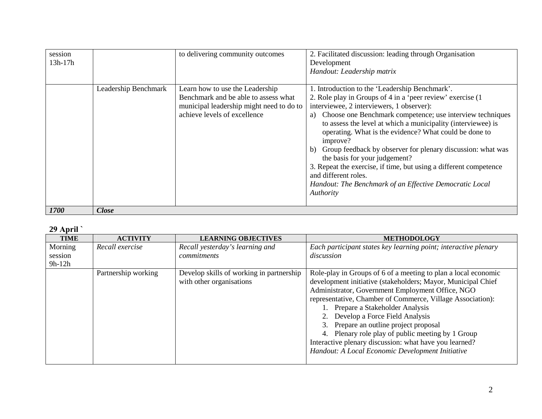| session<br>13h-17h |                      | to delivering community outcomes                                                                                                                    | 2. Facilitated discussion: leading through Organisation<br>Development<br>Handout: Leadership matrix                                                                                                                                                                                                                                                                                                                                                                                                                                                                                                                                           |
|--------------------|----------------------|-----------------------------------------------------------------------------------------------------------------------------------------------------|------------------------------------------------------------------------------------------------------------------------------------------------------------------------------------------------------------------------------------------------------------------------------------------------------------------------------------------------------------------------------------------------------------------------------------------------------------------------------------------------------------------------------------------------------------------------------------------------------------------------------------------------|
|                    | Leadership Benchmark | Learn how to use the Leadership<br>Benchmark and be able to assess what<br>municipal leadership might need to do to<br>achieve levels of excellence | 1. Introduction to the 'Leadership Benchmark'.<br>2. Role play in Groups of 4 in a 'peer review' exercise (1)<br>interviewee, 2 interviewers, 1 observer):<br>Choose one Benchmark competence; use interview techniques<br>a)<br>to assess the level at which a municipality (interviewee) is<br>operating. What is the evidence? What could be done to<br>improve?<br>Group feedback by observer for plenary discussion: what was<br>b)<br>the basis for your judgement?<br>3. Repeat the exercise, if time, but using a different competence<br>and different roles.<br>Handout: The Benchmark of an Effective Democratic Local<br>Authority |
| 1700               | Close                |                                                                                                                                                     |                                                                                                                                                                                                                                                                                                                                                                                                                                                                                                                                                                                                                                                |

### **29 April `**

| <b>TIME</b>        | <b>ACTIVITY</b>     | <b>LEARNING OBJECTIVES</b>                                           | <b>METHODOLOGY</b>                                                                                                                                                                                                                                                                                                                                                                                                                                                                                                          |
|--------------------|---------------------|----------------------------------------------------------------------|-----------------------------------------------------------------------------------------------------------------------------------------------------------------------------------------------------------------------------------------------------------------------------------------------------------------------------------------------------------------------------------------------------------------------------------------------------------------------------------------------------------------------------|
| Morning<br>session | Recall exercise     | Recall yesterday's learning and<br>commitments                       | Each participant states key learning point; interactive plenary<br>discussion                                                                                                                                                                                                                                                                                                                                                                                                                                               |
| $9h-12h$           |                     |                                                                      |                                                                                                                                                                                                                                                                                                                                                                                                                                                                                                                             |
|                    | Partnership working | Develop skills of working in partnership<br>with other organisations | Role-play in Groups of 6 of a meeting to plan a local economic<br>development initiative (stakeholders; Mayor, Municipal Chief<br>Administrator, Government Employment Office, NGO<br>representative, Chamber of Commerce, Village Association):<br>Prepare a Stakeholder Analysis<br>Develop a Force Field Analysis<br>Prepare an outline project proposal<br>Plenary role play of public meeting by 1 Group<br>Interactive plenary discussion: what have you learned?<br>Handout: A Local Economic Development Initiative |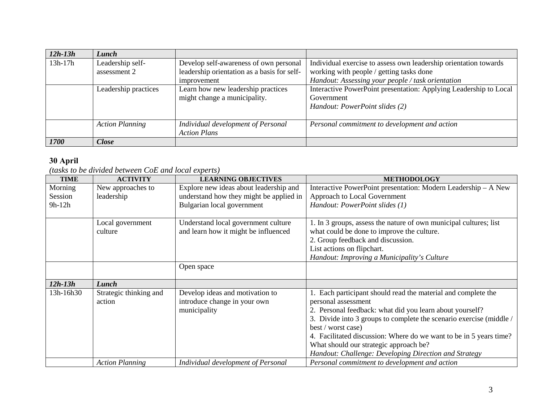| $12h-13h$   | Lunch                  |                                             |                                                                   |
|-------------|------------------------|---------------------------------------------|-------------------------------------------------------------------|
| $13h-17h$   | Leadership self-       | Develop self-awareness of own personal      | Individual exercise to assess own leadership orientation towards  |
|             | assessment 2           | leadership orientation as a basis for self- | working with people / getting tasks done                          |
|             |                        | improvement                                 | Handout: Assessing your people / task orientation                 |
|             | Leadership practices   | Learn how new leadership practices          | Interactive PowerPoint presentation: Applying Leadership to Local |
|             |                        | might change a municipality.                | Government                                                        |
|             |                        |                                             | Handout: PowerPoint slides (2)                                    |
|             |                        |                                             |                                                                   |
|             | <b>Action Planning</b> | Individual development of Personal          | Personal commitment to development and action                     |
|             |                        | <b>Action Plans</b>                         |                                                                   |
| <b>1700</b> | <b>Close</b>           |                                             |                                                                   |

#### **30 April**

*(tasks to be divided between CoE and local experts)* 

| <b>TIME</b> | <b>ACTIVITY</b>        | <b>LEARNING OBJECTIVES</b>              | <b>METHODOLOGY</b>                                                     |
|-------------|------------------------|-----------------------------------------|------------------------------------------------------------------------|
| Morning     | New approaches to      | Explore new ideas about leadership and  | Interactive PowerPoint presentation: Modern Leadership - A New         |
| Session     | leadership             | understand how they might be applied in | Approach to Local Government                                           |
| $9h-12h$    |                        | Bulgarian local government              | Handout: PowerPoint slides (1)                                         |
|             |                        |                                         |                                                                        |
|             | Local government       | Understand local government culture     | 1. In 3 groups, assess the nature of own municipal cultures; list      |
|             | culture                | and learn how it might be influenced    | what could be done to improve the culture.                             |
|             |                        |                                         | 2. Group feedback and discussion.                                      |
|             |                        |                                         | List actions on flipchart.                                             |
|             |                        |                                         | Handout: Improving a Municipality's Culture                            |
|             |                        | Open space                              |                                                                        |
|             |                        |                                         |                                                                        |
| $12h-13h$   | Lunch                  |                                         |                                                                        |
| 13h-16h30   | Strategic thinking and | Develop ideas and motivation to         | Each participant should read the material and complete the             |
|             | action                 | introduce change in your own            | personal assessment                                                    |
|             |                        | municipality                            | 2. Personal feedback: what did you learn about yourself?               |
|             |                        |                                         | Divide into 3 groups to complete the scenario exercise (middle /<br>3. |
|             |                        |                                         | best / worst case)                                                     |
|             |                        |                                         | 4. Facilitated discussion: Where do we want to be in 5 years time?     |
|             |                        |                                         | What should our strategic approach be?                                 |
|             |                        |                                         | Handout: Challenge: Developing Direction and Strategy                  |
|             | <b>Action Planning</b> | Individual development of Personal      | Personal commitment to development and action                          |